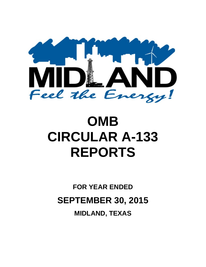

# **OMB CIRCULAR A-133 REPORTS**

**FOR YEAR ENDED SEPTEMBER 30, 2015** 

**MIDLAND, TEXAS**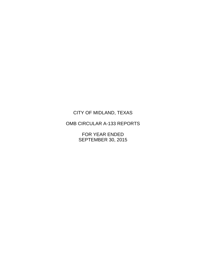# CITY OF MIDLAND, TEXAS

# OMB CIRCULAR A-133 REPORTS

FOR YEAR ENDED SEPTEMBER 30, 2015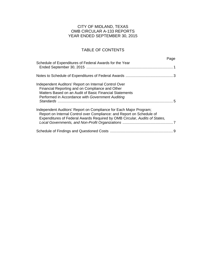## CITY OF MIDLAND, TEXAS OMB CIRCULAR A-133 REPORTS YEAR ENDED SEPTEMBER 30, 2015

# TABLE OF CONTENTS

| Page                                                                                                                                                                                                                      |     |
|---------------------------------------------------------------------------------------------------------------------------------------------------------------------------------------------------------------------------|-----|
| Schedule of Expenditures of Federal Awards for the Year                                                                                                                                                                   |     |
|                                                                                                                                                                                                                           |     |
| Independent Auditors' Report on Internal Control Over<br>Financial Reporting and on Compliance and Other<br>Matters Based on an Audit of Basic Financial Statements<br>Performed in Accordance with Government Auditing   | _ 5 |
| Independent Auditors' Report on Compliance for Each Major Program;<br>Report on Internal Control over Compliance: and Report on Schedule of<br>Expenditures of Federal Awards Required by OMB Circular, Audits of States, |     |
|                                                                                                                                                                                                                           |     |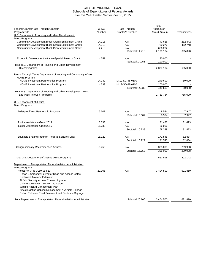#### CITY OF MIDLAND, TEXAS Schedule of Expenditures of Federal Awards For the Year Ended September 30, 2015

|                                                                                                                                                                                                                                                                                                |                       |                                         | Total                             |              |
|------------------------------------------------------------------------------------------------------------------------------------------------------------------------------------------------------------------------------------------------------------------------------------------------|-----------------------|-----------------------------------------|-----------------------------------|--------------|
| Federal Grantor/Pass-Through Grantor/<br>Program Title                                                                                                                                                                                                                                         | <b>CFDA</b><br>Number | Pass-Through<br><b>Grantor's Number</b> | Program or<br><b>Award Amount</b> | Expenditures |
| U.S. Department of Housing and Urban Development                                                                                                                                                                                                                                               |                       |                                         |                                   |              |
| Direct Programs:                                                                                                                                                                                                                                                                               |                       |                                         |                                   |              |
| <b>Community Development Block Grants/Entitlement Grants</b>                                                                                                                                                                                                                                   | 14.218                | N/A                                     | 743,626                           | 232,342      |
| <b>Community Development Block Grants/Entitlement Grants</b><br><b>Community Development Block Grants/Entitlement Grants</b>                                                                                                                                                                   | 14.218<br>14.218      | N/A<br>N/A                              | 730,276<br>656,282                | 462,748      |
|                                                                                                                                                                                                                                                                                                |                       | Subtotal 14.218                         | 2,130,184                         | 695,090      |
| Economic Development Initiative-Special Projects Grant                                                                                                                                                                                                                                         | 14.251                | N/A                                     | 190,000                           |              |
|                                                                                                                                                                                                                                                                                                |                       | Subtotal 14.251                         | 190,000                           |              |
| Total U.S. Department of Housing and Urban Development<br><b>Direct Programs</b>                                                                                                                                                                                                               |                       |                                         | 2,320,184                         | 695,090      |
| Pass - Through Texas Department of Housing and Community Affairs<br><b>HOME Program</b>                                                                                                                                                                                                        |                       |                                         |                                   |              |
| HOME Investment Partnerships Program                                                                                                                                                                                                                                                           | 14.239                | M-12-SG-48-0100                         | 249,600                           | 60,000       |
| HOME Investment Partnerships Program                                                                                                                                                                                                                                                           | 14.239                | M-12-SG-48-0100                         | 200,000                           |              |
|                                                                                                                                                                                                                                                                                                |                       | Subtotal 14.239                         | 449,600                           | 60,000       |
| Total U.S. Department of Housing and Urban Development Direct<br>and Pass-Through Programs                                                                                                                                                                                                     |                       |                                         | 2,769,784                         | 755,090      |
| U.S. Department of Justice<br>Direct Programs:                                                                                                                                                                                                                                                 |                       |                                         |                                   |              |
| Bulletproof Vest Partnership Program                                                                                                                                                                                                                                                           | 16.607                | N/A                                     | 8,584                             | 7,947        |
|                                                                                                                                                                                                                                                                                                |                       | Subtotal 16.607                         | 8,584                             | 7,947        |
|                                                                                                                                                                                                                                                                                                |                       |                                         |                                   |              |
| Justice Assistance Grant 2014                                                                                                                                                                                                                                                                  | 16.738                | N/A                                     | 31,423                            | 31,423       |
| Justice Assistance Grant 2015                                                                                                                                                                                                                                                                  | 16.738                | N/A<br>Subtotal 16.738                  | 26,966<br>58,389                  | 31,423       |
|                                                                                                                                                                                                                                                                                                |                       |                                         |                                   |              |
| Equitable Sharing Program (Federal Seizure Fund)                                                                                                                                                                                                                                               | 16.922                | N/A                                     | 171,545                           | 62,834       |
|                                                                                                                                                                                                                                                                                                |                       | Subtotal 16.922                         | 171,545                           | 62,834       |
| <b>Congressionally Recommended Awards</b>                                                                                                                                                                                                                                                      | 16.753                | N/A                                     | 325,000                           | 299,938      |
|                                                                                                                                                                                                                                                                                                |                       | Subtotal 16.753                         | 325,000                           | 299,938      |
| Total U.S. Department of Justice Direct Programs                                                                                                                                                                                                                                               |                       |                                         | 563,518                           | 402,142      |
| Department of Transportation Federal Aviation Administration<br>Direct Programs:                                                                                                                                                                                                               |                       |                                         |                                   |              |
| Project No. 3-48-0150-054-13<br>Rehab Emergency Perimeter Road and Access Gates<br>Northwest Taxilane Extension<br>Airfield Security Access Control Upgrade<br>Construct Runway 16R Run Up Apron<br>Wildlife Hazard Management Plan<br>Aifield Lighting Cabling Replacement & Airfield Signage | 20.106                | N/A                                     | 3,404,500                         | 621,810      |
| Rehab Entrance Road Pavement and Guidance Signage                                                                                                                                                                                                                                              |                       |                                         |                                   |              |
| Total Department of Transportation Federal Aviation Administration                                                                                                                                                                                                                             |                       | Subtotal 20.106                         | 3,404,500                         | 621,810      |
|                                                                                                                                                                                                                                                                                                |                       |                                         |                                   |              |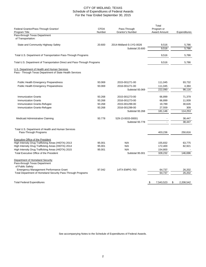#### CITY OF MIDLAND, TEXAS Schedule of Expenditures of Federal Awards For the Year Ended September 30, 2015

| Federal Grantor/Pass-Through Grantor/<br>Program Title                                                   | <b>CFDA</b><br>Number | Pass-Through<br><b>Grantor's Number</b> | Total<br>Program or<br>Award Amount | Expenditures    |
|----------------------------------------------------------------------------------------------------------|-----------------------|-----------------------------------------|-------------------------------------|-----------------|
| Pass-through Texas Department                                                                            |                       |                                         |                                     |                 |
| of Transportation:                                                                                       |                       |                                         |                                     |                 |
| State and Community Highway Safety                                                                       | 20.600                | 2014-Midland-S-1YG-0026                 | 9,516                               | 5,786           |
|                                                                                                          |                       | Subtotal 20,600                         | 9.516                               | 5,786           |
| Total U.S. Department of Transportation Pass-Through Programs                                            |                       |                                         | 9,516                               | 5,786           |
| Total U.S. Department of Transportation Direct and Pass-Through Programs                                 |                       |                                         | 9,516                               | 5,786           |
| U.S. Department of Health and Human Services<br>Pass - Through Texas Department of State Health Services |                       |                                         |                                     |                 |
| Public Health Emergency Preparedness                                                                     | 93.069                | 2015-001271-00                          | 111,045                             | 93.732          |
| Public Health Emergency Preparedness                                                                     | 93.069                | 2016-001271-00                          | 111,045                             | 4,384           |
|                                                                                                          |                       | Subtotal 93,069                         | 222.090                             | 98.116          |
| <b>Immunization Grants</b>                                                                               | 93.268                | 2015-001273-00                          | 66,899                              | 71,379          |
| <b>Immunization Grants</b>                                                                               | 93.268                | 2016-001273-00                          | 66,899                              | 11,939          |
| Immunization Grants-Refugee                                                                              | 93.268                | 2015-001299-00                          | 19,789                              | 30,626          |
| Immunization Grants-Refugee                                                                              | 93.268                | 2016-001299-00                          | 27,559                              | 309             |
|                                                                                                          |                       | Subtotal 93.268                         | 181,146                             | 114.253         |
| Medicaid Administrative Claiming                                                                         | 93.778                | 529-13-0033-00001                       |                                     | 38,447          |
|                                                                                                          |                       | Subtotal 93.778                         |                                     | 38.447          |
| Total U.S. Department of Health and Human Services                                                       |                       |                                         |                                     |                 |
| Pass-Through Programs                                                                                    |                       |                                         | 403.236                             | 250.816         |
| <b>Executive Office of the President</b>                                                                 |                       |                                         |                                     |                 |
| High Intensity Drug Trafficking Areas (HIDTA) 2013                                                       | 95.001                | N/A                                     | 155,832                             | 63,775          |
| High Intensity Drug Trafficking Areas (HIDTA) 2014                                                       | 95.001                | N/A                                     | 172,400                             | 82,921          |
| High Intensity Drug Trafficking Areas (HIDTA) 2015                                                       | 95.001                | N/A                                     | 154,800                             |                 |
| Total Executive Office of the President                                                                  |                       | Subtotal 95.001                         | 328,232                             | 146,696         |
| Department of Homeland Security<br>Pass-through Texas Department<br>of Public Safety:                    |                       |                                         |                                     |                 |
| <b>Emergency Management Performance Grant</b>                                                            | 97.042                | 14TX-EMPG-763                           | 64,737                              | 26,202          |
| Total Department of Homeland Security Pass-Through Programs                                              |                       |                                         | 64,737                              | 26,202          |
| <b>Total Federal Expenditures</b>                                                                        |                       |                                         | 7,543,523<br>\$                     | 2,208,542<br>\$ |

See accompanying Notes to the Schedule of Expenditures of Federal Awards.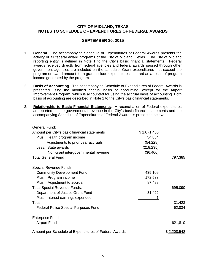## **CITY OF MIDLAND, TEXAS NOTES TO SCHEDULE OF EXPENDITURES OF FEDERAL AWARDS**

## **SEPTEMBER 30, 2015**

- 1. **General**. The accompanying Schedule of Expenditures of Federal Awards presents the activity of all federal award programs of the City of Midland, Texas. The City of Midland reporting entity is defined in Note 1 to the City's basic financial statements. Federal awards received directly from federal agencies and federal awards passed through other government agencies are included on the schedule. Grant expenditures that exceed the program or award amount for a grant include expenditures incurred as a result of program income generated by the program.
- 2. **Basis of Accounting**. The accompanying Schedule of Expenditures of Federal Awards is presented using the modified accrual basis of accounting, except for the Airport Improvement Program, which is accounted for using the accrual basis of accounting. Both basis of accounting are described in Note 1 to the City's basic financial statements.
- 3. **Relationship to Basic Financial Statements**. A reconciliation of Federal expenditures as reported as intergovernmental revenue in the City's basic financial statements and the accompanying Schedule of Expenditures of Federal Awards is presented below:

| <b>General Fund:</b>                                  |                 |             |
|-------------------------------------------------------|-----------------|-------------|
| Amount per City's basic financial statements          | \$1,071,450     |             |
| Plus: Health program income                           | 34,864          |             |
| Adjustments to prior year accruals                    | (54, 228)       |             |
| Less: State awards                                    | (218, 295)      |             |
| Non-grant intergovernmental revenue                   | <u>(36,406)</u> |             |
| <b>Total General Fund</b>                             |                 | 797,385     |
| <b>Special Revenue Funds:</b>                         |                 |             |
| <b>Community Development Fund</b>                     | 435,109         |             |
| Plus: Program income                                  | 172,533         |             |
| Plus: Adjustment to accrual                           | 87,488          |             |
| <b>Total Special Revenue Funds:</b>                   |                 | 695,090     |
| Department of Justice Grant Fund                      | 31,422          |             |
| Plus: Interest earnings expended                      |                 |             |
| Total                                                 |                 | 31,423      |
| <b>Federal Police Special Purposes Fund</b>           |                 | 62,834      |
| Enterprise Fund:                                      |                 |             |
| <b>Airport Fund</b>                                   |                 | 621,810     |
| Amount per Schedule of Expenditures of Federal Awards |                 | \$2,208,542 |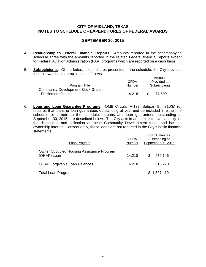## **CITY OF MIDLAND, TEXAS NOTES TO SCHEDULE OF EXPENDITURES OF FEDERAL AWARDS**

### **SEPTEMBER 30, 2015**

- 4. **Relationship to Federal Financial Reports**. Amounts reported in the accompanying schedule agree with the amounts reported in the related Federal financial reports except for Federal Aviation Administration (FAA) programs which are reported on a cash basis.
- 5. **Subrecipients**. Of the federal expenditures presented in the schedule, the City provided federal awards to subrecipients as follows: Amount

|                                            |               | Allivulli            |
|--------------------------------------------|---------------|----------------------|
|                                            | CFDA          | Provided to          |
| Program Title                              | <b>Number</b> | <b>Subrecipients</b> |
| <b>Community Development Block Grant -</b> |               |                      |
| <b>Entitlement Grants</b>                  | 14.218        | \$.<br><u>77,500</u> |
|                                            |               |                      |

6. **Loan and Loan Guarantee Programs**. OMB Circular A-133, Subpart B, §310(b) (6) requires that loans or loan guarantees outstanding at year-end be included in either the schedule or a note to the schedule. Loans and loan guarantees outstanding at September 30, 2015, are described below. The City acts in an administrative capacity for the distribution and collection of these Community Development funds and has no ownership interest. Consequently, these loans are not reported in the City's basic financial statements. Loan Balances

| Loan Program                                             | <b>CFDA</b><br>Number | Loan Balances<br>Outstanding at<br>September 30, 2015 |
|----------------------------------------------------------|-----------------------|-------------------------------------------------------|
| Owner Occupied Housing Assistance Program<br>(OHAP) Loan | 14.218                | 979,146<br>S                                          |
| <b>OHAP Forgivable Loan Balances</b>                     | 14.218                | 618,273                                               |
| Total Loan Program                                       |                       | <u>1,597,419</u><br>S.                                |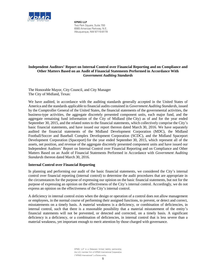

**KPMG LLP** Two Park Square, Suite 700 6565 Americas Parkway, N.E. Albuquerque, NM 87110-8179

#### **Independent Auditors' Report on Internal Control over Financial Reporting and on Compliance and Other Matters Based on an Audit of Financial Statements Performed in Accordance With**  *Government Auditing Standards*

The Honorable Mayor, City Council, and City Manager The City of Midland, Texas:

We have audited, in accordance with the auditing standards generally accepted in the United States of America and the standards applicable to financial audits contained in *Government Auditing Standards*, issued by the Comptroller General of the United States, the financial statements of the governmental activities, the business-type activities, the aggregate discretely presented component units, each major fund, and the aggregate remaining fund information of the City of Midland (the City) as of and for the year ended September 30, 2015, and the related notes to the financial statements, which collectively comprise the City's basic financial statements, and have issued our report thereon dated March 30, 2016. We have separately audited the financial statements of the Midland Development Corporation (MDC), the Midland Football/Soccer and Baseball Complex Development Corporation (SCDC), and the Midland Spaceport Development Corporation (Spaceport) for the year ended September 30, 2015, which represent all of the assets, net position, and revenue of the aggregate discretely presented component units and have issued our Independent Auditors' Report on Internal Control over Financial Reporting and on Compliance and Other Matters Based on an Audit of Financial Statements Performed in Accordance with *Government Auditing Standards* thereon dated March 30, 2016.

#### **Internal Control over Financial Reporting**

In planning and performing our audit of the basic financial statements, we considered the City's internal control over financial reporting (internal control) to determine the audit procedures that are appropriate in the circumstances for the purpose of expressing our opinion on the basic financial statements, but not for the purpose of expressing an opinion on the effectiveness of the City's internal control. Accordingly, we do not express an opinion on the effectiveness of the City's internal control.

A deficiency in internal control exists when the design or operation of a control does not allow management or employees, in the normal course of performing their assigned functions, to prevent, or detect and correct, misstatements on a timely basis. A material weakness is a deficiency, or combination of deficiencies, in internal control, such that there is a reasonable possibility that a material misstatement of the entity's financial statements will not be prevented, or detected and corrected, on a timely basis. A significant deficiency is a deficiency, or a combination of deficiencies, in internal control that is less severe than a material weakness, yet important enough to merit attention by those charged with governance.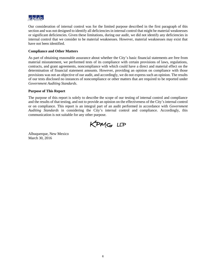

Our consideration of internal control was for the limited purpose described in the first paragraph of this section and was not designed to identify all deficiencies in internal control that might be material weaknesses or significant deficiencies. Given these limitations, during our audit, we did not identify any deficiencies in internal control that we consider to be material weaknesses. However, material weaknesses may exist that have not been identified.

#### **Compliance and Other Matters**

As part of obtaining reasonable assurance about whether the City's basic financial statements are free from material misstatement, we performed tests of its compliance with certain provisions of laws, regulations, contracts, and grant agreements, noncompliance with which could have a direct and material effect on the determination of financial statement amounts. However, providing an opinion on compliance with those provisions was not an objective of our audit, and accordingly, we do not express such an opinion. The results of our tests disclosed no instances of noncompliance or other matters that are required to be reported under *Government Auditing Standards*.

#### **Purpose of This Report**

The purpose of this report is solely to describe the scope of our testing of internal control and compliance and the results of that testing, and not to provide an opinion on the effectiveness of the City's internal control or on compliance. This report is an integral part of an audit performed in accordance with *Government Auditing Standards* in considering the City's internal control and compliance. Accordingly, this communication is not suitable for any other purpose.

KPMG LLP

Albuquerque, New Mexico March 30, 2016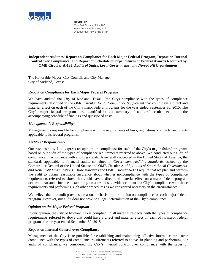

**KPMG LLP** Two Park Square, Suite 700 6565 Americas Parkway, N.E. Albuquerque, NM 87110-8179

#### **Independent Auditors' Report on Compliance for Each Major Federal Program; Report on Internal Control over Compliance; and Report on Schedule of Expenditures of Federal Awards Required by OMB Circular A-133,** *Audits of States, Local Governments, and Non-Profit Organizations*

The Honorable Mayor, City Council, and City Manager City of Midland, Texas:

#### **Report on Compliance for Each Major Federal Program**

We have audited the City of Midland, Texas' (the City) compliance with the types of compliance requirements described in the *OMB Circular A-133 Compliance Supplement* that could have a direct and material effect on each of the City's major federal programs for the year ended September 30, 2015. The City's major federal programs are identified in the summary of auditors' results section of the accompanying schedule of findings and questioned costs.

#### *Management's Responsibility*

Management is responsible for compliance with the requirements of laws, regulations, contracts, and grants applicable to its federal programs.

#### *Auditors' Responsibility*

Our responsibility is to express an opinion on compliance for each of the City's major federal programs based on our audit of the types of compliance requirements referred to above. We conducted our audit of compliance in accordance with auditing standards generally accepted in the United States of America; the standards applicable to financial audits contained in *Government Auditing Standards*, issued by the Comptroller General of the United States; and OMB Circular A-133, *Audits of States, Local Governments, and Non-Profit Organizations*. Those standards and OMB Circular A-133 require that we plan and perform the audit to obtain reasonable assurance about whether noncompliance with the types of compliance requirements referred to above that could have a direct and material effect on a major federal program occurred. An audit includes examining, on a test basis, evidence about the City's compliance with those requirements and performing such other procedures as we considered necessary in the circumstances.

We believe that our audit provides a reasonable basis for our opinion on compliance for each major federal program. However, our audit does not provide a legal determination of the City's compliance.

#### *Opinion on the Major Federal Program*

In our opinion, the City of Midland Texas complied, in all material respects, with the types of compliance requirements referred to above that could have a direct and material effect on each of its major federal programs for the year ended September 30, 2015.

#### **Report on Internal Control over Compliance**

Management of the City is responsible for establishing and maintaining effective internal control over compliance with the types of compliance requirements referred to above. In planning and performing our audit of compliance, we considered the City's internal control over compliance with the types of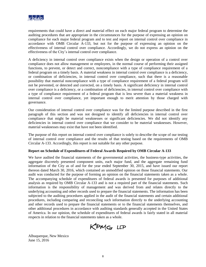

requirements that could have a direct and material effect on each major federal program to determine the auditing procedures that are appropriate in the circumstances for the purpose of expressing an opinion on compliance for each major federal program and to test and report on internal control over compliance in accordance with OMB Circular A-133, but not for the purpose of expressing an opinion on the effectiveness of internal control over compliance. Accordingly, we do not express an opinion on the effectiveness of the City's internal control over compliance.

A deficiency in internal control over compliance exists when the design or operation of a control over compliance does not allow management or employees, in the normal course of performing their assigned functions, to prevent, or detect and correct, noncompliance with a type of compliance requirement of a federal program on a timely basis. A material weakness in internal control over compliance is a deficiency, or combination of deficiencies, in internal control over compliance, such that there is a reasonable possibility that material noncompliance with a type of compliance requirement of a federal program will not be prevented, or detected and corrected, on a timely basis. A significant deficiency in internal control over compliance is a deficiency, or a combination of deficiencies, in internal control over compliance with a type of compliance requirement of a federal program that is less severe than a material weakness in internal control over compliance, yet important enough to merit attention by those charged with governance.

Our consideration of internal control over compliance was for the limited purpose described in the first paragraph of this section and was not designed to identify all deficiencies in internal control over compliance that might be material weaknesses or significant deficiencies. We did not identify any deficiencies in internal control over compliance that we consider to be material weaknesses. However, material weaknesses may exist that have not been identified.

The purpose of this report on internal control over compliance is solely to describe the scope of our testing of internal control over compliance and the results of that testing based on the requirements of OMB Circular A-133. Accordingly, this report is not suitable for any other purpose.

#### **Report on Schedule of Expenditures of Federal Awards Required by OMB Circular A-133**

We have audited the financial statements of the governmental activities, the business-type activities, the aggregate discretely presented component units, each major fund, and the aggregate remaining fund information of the City as of and for the year ended September 30, 2015, and have issued our report thereon dated March 30, 2016, which contained an unmodified opinion on those financial statements. Our audit was conducted for the purpose of forming an opinion on the financial statements taken as a whole. The accompanying schedule of expenditures of federal awards is presented for purposes of additional analysis as required by OMB Circular A-133 and is not a required part of the financial statements. Such information is the responsibility of management and was derived from and relates directly to the underlying accounting and other records used to prepare the financial statements. The information has been subjected to the auditing procedures applied in the audit of the financial statements and certain additional procedures, including comparing and reconciling such information directly to the underlying accounting and other records used to prepare the financial statements or to the financial statements themselves, and other additional procedures in accordance with auditing standards generally accepted in the United States of America. In our opinion, the schedule of expenditures of federal awards is fairly stated in all material respects in relation to the financial statements taken as a whole.

KPMG LLP

Albuquerque, New Mexico June 15, 2016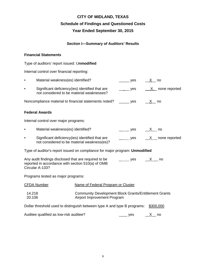# **CITY OF MIDLAND, TEXAS Schedule of Findings and Questioned Costs Year Ended September 30, 2015**

# **Section I—Summary of Auditors' Results**

## **Financial Statements**

Type of auditors' report issued: U**nmodified**

Internal control over financial reporting:

|                                                                                                                                                             | Material weakness(es) identified?                                                            |                                                                                             | _yes                     | $X$ no                                 |
|-------------------------------------------------------------------------------------------------------------------------------------------------------------|----------------------------------------------------------------------------------------------|---------------------------------------------------------------------------------------------|--------------------------|----------------------------------------|
| $\bullet$                                                                                                                                                   | Significant deficiency(ies) identified that are<br>not considered to be material weaknesses? |                                                                                             | $\rule{1em}{0.15mm}$ yes | $\underline{\mathsf{X}}$ none reported |
|                                                                                                                                                             |                                                                                              | Noncompliance material to financial statements noted?                                       | yes                      | X no                                   |
|                                                                                                                                                             | <b>Federal Awards</b>                                                                        |                                                                                             |                          |                                        |
|                                                                                                                                                             | Internal control over major programs:                                                        |                                                                                             |                          |                                        |
| $\bullet$                                                                                                                                                   | Material weakness(es) identified?                                                            |                                                                                             | ____ yes                 | $\mathsf{X}$<br>no                     |
|                                                                                                                                                             | Significant deficiency (ies) identified that are                                             | not considered to be material weakness(es)?                                                 | yes                      | $X$ _ none reported                    |
|                                                                                                                                                             |                                                                                              | Type of auditor's report issued on compliance for major program: Unmodified                 |                          |                                        |
| Any audit findings disclosed that are required to be<br>$\frac{\ }{\ }$ yes<br>X no<br>reported in accordance with section 510(a) of OMB<br>Circular A-133? |                                                                                              |                                                                                             |                          |                                        |
|                                                                                                                                                             | Programs tested as major programs:                                                           |                                                                                             |                          |                                        |
|                                                                                                                                                             | <b>CFDA Number</b>                                                                           | Name of Federal Program or Cluster                                                          |                          |                                        |
| 14.218<br>20.106                                                                                                                                            |                                                                                              | <b>Community Development Block Grants/Entitlement Grants</b><br>Airport Improvement Program |                          |                                        |
|                                                                                                                                                             |                                                                                              | Dollar threshold used to distinguish between type A and type B programs:                    |                          | \$300,000                              |
|                                                                                                                                                             | Auditee qualified as low-risk auditee?                                                       |                                                                                             | $\rule{1em}{0.15mm}$ yes | $X_{\_\_}$ no                          |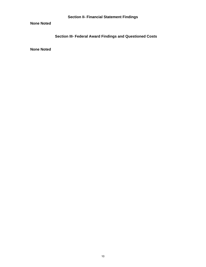**Section II- Financial Statement Findings** 

**None Noted** 

 **Section III- Federal Award Findings and Questioned Costs** 

**None Noted**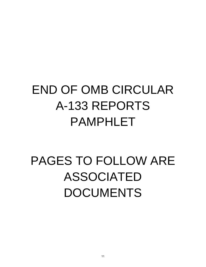# END OF OMB CIRCULAR A-133 REPORTS PAMPHLET

# PAGES TO FOLLOW ARE ASSOCIATED DOCUMENTS